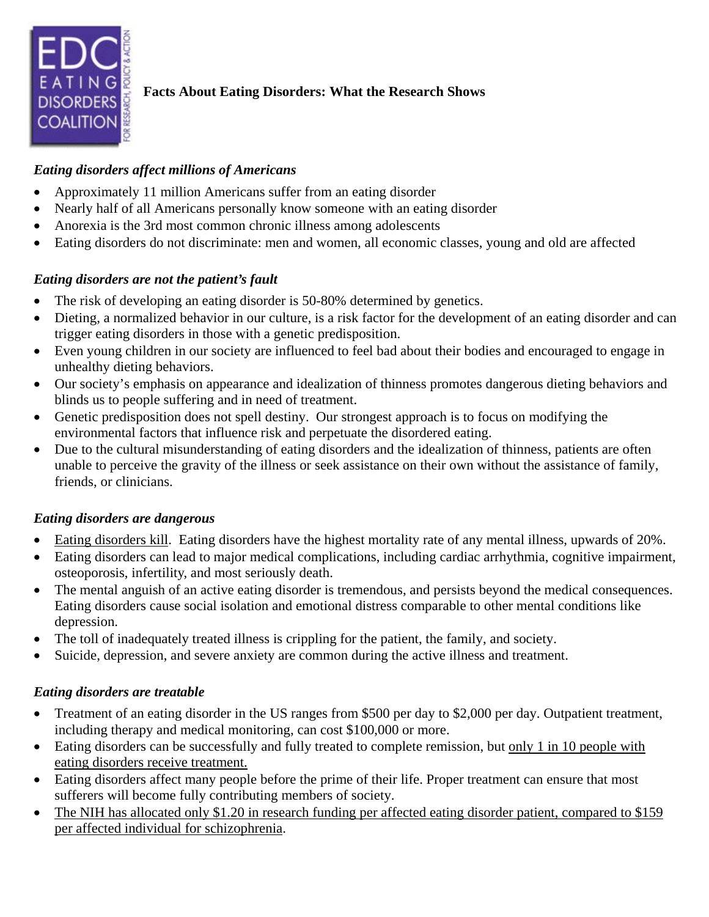

## **Facts About Eating Disorders: What the Research Shows**

#### *Eating disorders affect millions of Americans*

- Approximately 11 million Americans suffer from an eating disorder
- Nearly half of all Americans personally know someone with an eating disorder
- Anorexia is the 3rd most common chronic illness among adolescents
- Eating disorders do not discriminate: men and women, all economic classes, young and old are affected

## *Eating disorders are not the patient's fault*

- The risk of developing an eating disorder is 50-80% determined by genetics.
- Dieting, a normalized behavior in our culture, is a risk factor for the development of an eating disorder and can trigger eating disorders in those with a genetic predisposition.
- Even young children in our society are influenced to feel bad about their bodies and encouraged to engage in unhealthy dieting behaviors.
- Our society's emphasis on appearance and idealization of thinness promotes dangerous dieting behaviors and blinds us to people suffering and in need of treatment.
- Genetic predisposition does not spell destiny. Our strongest approach is to focus on modifying the environmental factors that influence risk and perpetuate the disordered eating.
- Due to the cultural misunderstanding of eating disorders and the idealization of thinness, patients are often unable to perceive the gravity of the illness or seek assistance on their own without the assistance of family, friends, or clinicians.

#### *Eating disorders are dangerous*

- Eating disorders kill. Eating disorders have the highest mortality rate of any mental illness, upwards of 20%.
- Eating disorders can lead to major medical complications, including cardiac arrhythmia, cognitive impairment, osteoporosis, infertility, and most seriously death.
- The mental anguish of an active eating disorder is tremendous, and persists beyond the medical consequences. Eating disorders cause social isolation and emotional distress comparable to other mental conditions like depression.
- The toll of inadequately treated illness is crippling for the patient, the family, and society.
- Suicide, depression, and severe anxiety are common during the active illness and treatment.

#### *Eating disorders are treatable*

- Treatment of an eating disorder in the US ranges from \$500 per day to \$2,000 per day. Outpatient treatment, including therapy and medical monitoring, can cost \$100,000 or more.
- Eating disorders can be successfully and fully treated to complete remission, but only 1 in 10 people with eating disorders receive treatment.
- Eating disorders affect many people before the prime of their life. Proper treatment can ensure that most sufferers will become fully contributing members of society.
- The NIH has allocated only \$1.20 in research funding per affected eating disorder patient, compared to \$159 per affected individual for schizophrenia.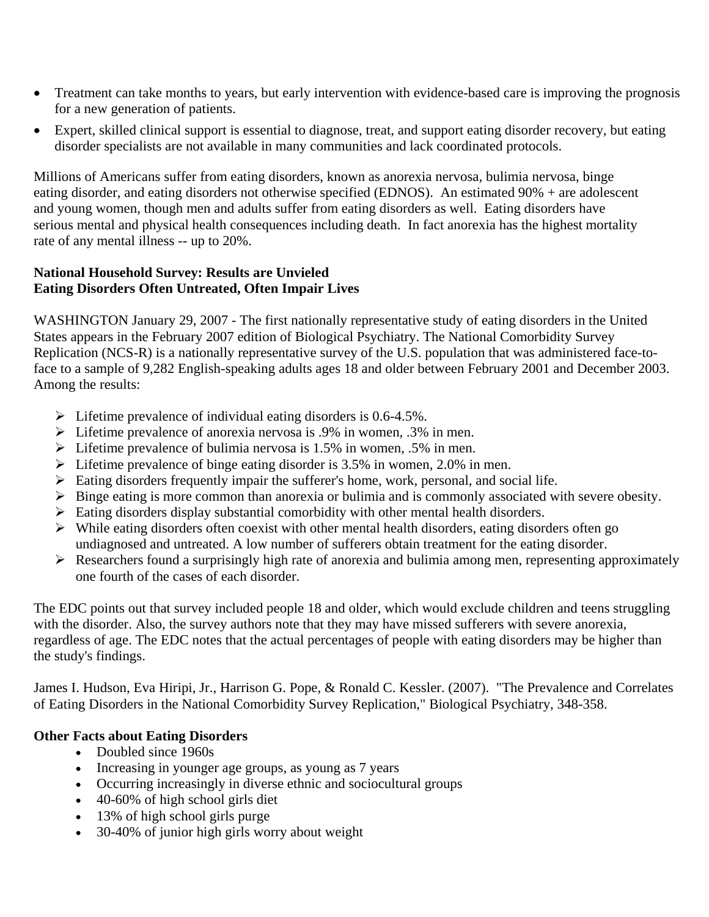- Treatment can take months to years, but early intervention with evidence-based care is improving the prognosis for a new generation of patients.
- Expert, skilled clinical support is essential to diagnose, treat, and support eating disorder recovery, but eating disorder specialists are not available in many communities and lack coordinated protocols.

Millions of Americans suffer from eating disorders, known as anorexia nervosa, bulimia nervosa, binge eating disorder, and eating disorders not otherwise specified (EDNOS). An estimated 90% + are adolescent and young women, though men and adults suffer from eating disorders as well. Eating disorders have serious mental and physical health consequences including death. In fact anorexia has the highest mortality rate of any mental illness -- up to 20%.

#### **National Household Survey: Results are Unvieled Eating Disorders Often Untreated, Often Impair Lives**

WASHINGTON January 29, 2007 - The first nationally representative study of eating disorders in the United States appears in the February 2007 edition of Biological Psychiatry. The National Comorbidity Survey Replication (NCS-R) is a nationally representative survey of the U.S. population that was administered face-toface to a sample of 9,282 English-speaking adults ages 18 and older between February 2001 and December 2003. Among the results:

- $\triangleright$  Lifetime prevalence of individual eating disorders is 0.6-4.5%.
- $\triangleright$  Lifetime prevalence of anorexia nervosa is .9% in women, .3% in men.
- $\triangleright$  Lifetime prevalence of bulimia nervosa is 1.5% in women, .5% in men.
- $\triangleright$  Lifetime prevalence of binge eating disorder is 3.5% in women, 2.0% in men.
- $\triangleright$  Eating disorders frequently impair the sufferer's home, work, personal, and social life.
- $\triangleright$  Binge eating is more common than anorexia or bulimia and is commonly associated with severe obesity.
- $\triangleright$  Eating disorders display substantial comorbidity with other mental health disorders.
- $\triangleright$  While eating disorders often coexist with other mental health disorders, eating disorders often go undiagnosed and untreated. A low number of sufferers obtain treatment for the eating disorder.
- $\triangleright$  Researchers found a surprisingly high rate of anorexia and bulimia among men, representing approximately one fourth of the cases of each disorder.

The EDC points out that survey included people 18 and older, which would exclude children and teens struggling with the disorder. Also, the survey authors note that they may have missed sufferers with severe anorexia, regardless of age. The EDC notes that the actual percentages of people with eating disorders may be higher than the study's findings.

James I. Hudson, Eva Hiripi, Jr., Harrison G. Pope, & Ronald C. Kessler. (2007). "The Prevalence and Correlates of Eating Disorders in the National Comorbidity Survey Replication," Biological Psychiatry, 348-358.

## **Other Facts about Eating Disorders**

- Doubled since 1960s
- Increasing in younger age groups, as young as 7 years
- Occurring increasingly in diverse ethnic and sociocultural groups
- 40-60% of high school girls diet
- 13% of high school girls purge
- 30-40% of junior high girls worry about weight